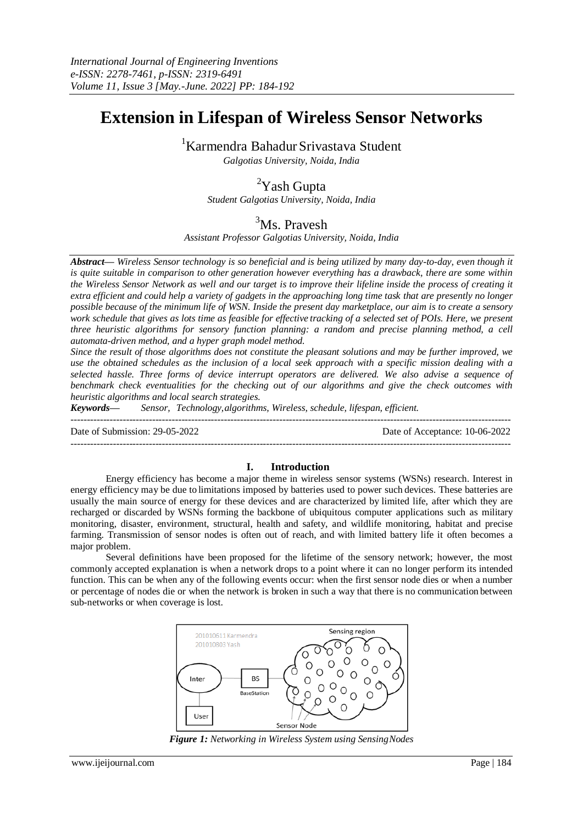# **Extension in Lifespan of Wireless Sensor Networks**

<sup>1</sup>Karmendra Bahadur Srivastava Student

*Galgotias University, Noida, India*

## <sup>2</sup>Yash Gupta

*Student Galgotias University, Noida, India*

## <sup>3</sup>Ms. Pravesh

*Assistant Professor Galgotias University, Noida, India*

*Abstract— Wireless Sensor technology is so beneficial and is being utilized by many day-to-day, even though it is quite suitable in comparison to other generation however everything has a drawback, there are some within the Wireless Sensor Network as well and our target is to improve their lifeline inside the process of creating it extra efficient and could help a variety of gadgets in the approaching long time task that are presently no longer*  possible because of the minimum life of WSN. Inside the present day marketplace, our aim is to create a sensory *work schedule that gives as lots time as feasible for effective tracking of a selected set of POIs. Here, we present three heuristic algorithms for sensory function planning: a random and precise planning method, a cell automata-driven method, and a hyper graph model method.*

*Since the result of those algorithms does not constitute the pleasant solutions and may be further improved, we use the obtained schedules as the inclusion of a local seek approach with a specific mission dealing with a selected hassle. Three forms of device interrupt operators are delivered. We also advise a sequence of benchmark check eventualities for the checking out of our algorithms and give the check outcomes with heuristic algorithms and local search strategies.*

*Keywords— Sensor, Technology,algorithms, Wireless, schedule, lifespan, efficient.*

Date of Submission: 29-05-2022 Date of Acceptance: 10-06-2022

#### ---------------------------------------------------------------------------------------------------------------------------------------

## **I. Introduction**

---------------------------------------------------------------------------------------------------------------------------------------

Energy efficiency has become a major theme in wireless sensor systems (WSNs) research. Interest in energy efficiency may be due to limitations imposed by batteries used to power such devices. These batteries are usually the main source of energy for these devices and are characterized by limited life, after which they are recharged or discarded by WSNs forming the backbone of ubiquitous computer applications such as military monitoring, disaster, environment, structural, health and safety, and wildlife monitoring, habitat and precise farming. Transmission of sensor nodes is often out of reach, and with limited battery life it often becomes a major problem.

Several definitions have been proposed for the lifetime of the sensory network; however, the most commonly accepted explanation is when a network drops to a point where it can no longer perform its intended function. This can be when any of the following events occur: when the first sensor node dies or when a number or percentage of nodes die or when the network is broken in such a way that there is no communication between sub-networks or when coverage is lost.



*Figure 1: Networking in Wireless System using SensingNodes*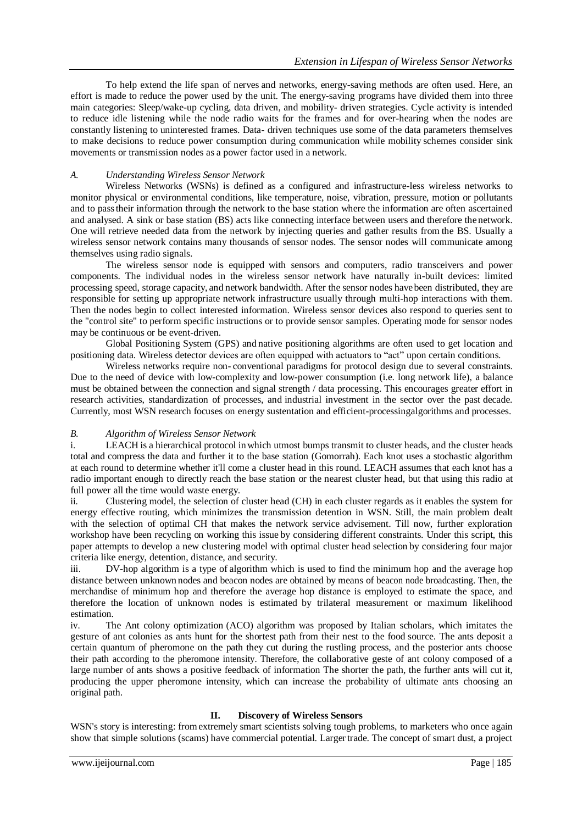To help extend the life span of nerves and networks, energy-saving methods are often used. Here, an effort is made to reduce the power used by the unit. The energy-saving programs have divided them into three main categories: Sleep/wake-up cycling, data driven, and mobility- driven strategies. Cycle activity is intended to reduce idle listening while the node radio waits for the frames and for over-hearing when the nodes are constantly listening to uninterested frames. Data- driven techniques use some of the data parameters themselves to make decisions to reduce power consumption during communication while mobility schemes consider sink movements or transmission nodes as a power factor used in a network.

## *A. Understanding Wireless Sensor Network*

Wireless Networks (WSNs) is defined as a configured and infrastructure-less wireless networks to monitor physical or environmental conditions, like temperature, noise, vibration, pressure, motion or pollutants and to passtheir information through the network to the base station where the information are often ascertained and analysed. A sink or base station (BS) acts like connecting interface between users and therefore the network. One will retrieve needed data from the network by injecting queries and gather results from the BS. Usually a wireless sensor network contains many thousands of sensor nodes. The sensor nodes will communicate among themselves using radio signals.

The wireless sensor node is equipped with sensors and computers, radio transceivers and power components. The individual nodes in the wireless sensor network have naturally in-built devices: limited processing speed, storage capacity, and network bandwidth. After the sensor nodes have been distributed, they are responsible for setting up appropriate network infrastructure usually through multi-hop interactions with them. Then the nodes begin to collect interested information. Wireless sensor devices also respond to queries sent to the "control site" to perform specific instructions or to provide sensor samples. Operating mode for sensor nodes may be continuous or be event-driven.

Global Positioning System (GPS) and native positioning algorithms are often used to get location and positioning data. Wireless detector devices are often equipped with actuators to "act" upon certain conditions.

Wireless networks require non- conventional paradigms for protocol design due to several constraints. Due to the need of device with low-complexity and low-power consumption (i.e. long network life), a balance must be obtained between the connection and signal strength / data processing. This encourages greater effort in research activities, standardization of processes, and industrial investment in the sector over the past decade. Currently, most WSN research focuses on energy sustentation and efficient-processingalgorithms and processes.

## *B. Algorithm of Wireless Sensor Network*

i. LEACH is a hierarchical protocol inwhich utmost bumps transmit to cluster heads, and the cluster heads total and compress the data and further it to the base station (Gomorrah). Each knot uses a stochastic algorithm at each round to determine whether it'll come a cluster head in this round. LEACH assumes that each knot has a radio important enough to directly reach the base station or the nearest cluster head, but that using this radio at full power all the time would waste energy.

ii. Clustering model, the selection of cluster head (CH) in each cluster regards as it enables the system for energy effective routing, which minimizes the transmission detention in WSN. Still, the main problem dealt with the selection of optimal CH that makes the network service advisement. Till now, further exploration workshop have been recycling on working this issue by considering different constraints. Under this script, this paper attempts to develop a new clustering model with optimal cluster head selection by considering four major criteria like energy, detention, distance, and security.

iii. DV-hop algorithm is a type of algorithm which is used to find the minimum hop and the average hop distance between unknown nodes and beacon nodes are obtained by means of beacon node broadcasting. Then, the merchandise of minimum hop and therefore the average hop distance is employed to estimate the space, and therefore the location of unknown nodes is estimated by trilateral measurement or maximum likelihood estimation.

iv. The Ant colony optimization (ACO) algorithm was proposed by Italian scholars, which imitates the gesture of ant colonies as ants hunt for the shortest path from their nest to the food source. The ants deposit a certain quantum of pheromone on the path they cut during the rustling process, and the posterior ants choose their path according to the pheromone intensity. Therefore, the collaborative geste of ant colony composed of a large number of ants shows a positive feedback of information The shorter the path, the further ants will cut it, producing the upper pheromone intensity, which can increase the probability of ultimate ants choosing an original path.

## **II. Discovery of Wireless Sensors**

WSN's story is interesting: fromextremely smart scientists solving tough problems, to marketers who once again show that simple solutions (scams) have commercial potential. Larger trade. The concept of smart dust, a project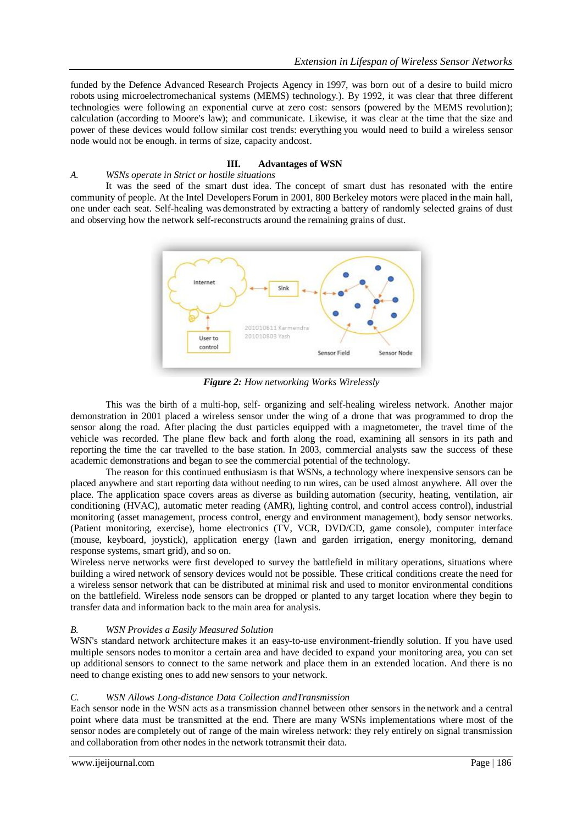funded by the Defence Advanced Research Projects Agency in 1997, was born out of a desire to build micro robots using microelectromechanical systems (MEMS) technology.). By 1992, it was clear that three different technologies were following an exponential curve at zero cost: sensors (powered by the MEMS revolution); calculation (according to Moore's law); and communicate. Likewise, it was clear at the time that the size and power of these devices would follow similar cost trends: everything you would need to build a wireless sensor node would not be enough. in terms of size, capacity andcost.

## **III. Advantages of WSN**

#### *A. WSNs operate in Strict or hostile situations*

It was the seed of the smart dust idea. The concept of smart dust has resonated with the entire community of people. At the Intel Developers Forum in 2001, 800 Berkeley motors were placed in the main hall, one under each seat. Self-healing was demonstrated by extracting a battery of randomly selected grains of dust and observing how the network self-reconstructs around the remaining grains of dust.



*Figure 2: How networking Works Wirelessly*

This was the birth of a multi-hop, self- organizing and self-healing wireless network. Another major demonstration in 2001 placed a wireless sensor under the wing of a drone that was programmed to drop the sensor along the road. After placing the dust particles equipped with a magnetometer, the travel time of the vehicle was recorded. The plane flew back and forth along the road, examining all sensors in its path and reporting the time the car travelled to the base station. In 2003, commercial analysts saw the success of these academic demonstrations and began to see the commercial potential of the technology.

The reason for this continued enthusiasm is that WSNs, a technology where inexpensive sensors can be placed anywhere and start reporting data without needing to run wires, can be used almost anywhere. All over the place. The application space covers areas as diverse as building automation (security, heating, ventilation, air conditioning (HVAC), automatic meter reading (AMR), lighting control, and control access control), industrial monitoring (asset management, process control, energy and environment management), body sensor networks. (Patient monitoring, exercise), home electronics (TV, VCR, DVD/CD, game console), computer interface (mouse, keyboard, joystick), application energy (lawn and garden irrigation, energy monitoring, demand response systems, smart grid), and so on.

Wireless nerve networks were first developed to survey the battlefield in military operations, situations where building a wired network of sensory devices would not be possible. These critical conditions create the need for a wireless sensor network that can be distributed at minimal risk and used to monitor environmental conditions on the battlefield. Wireless node sensors can be dropped or planted to any target location where they begin to transfer data and information back to the main area for analysis.

#### *B. WSN Provides a Easily Measured Solution*

WSN's standard network architecture makes it an easy-to-use environment-friendly solution. If you have used multiple sensors nodes to monitor a certain area and have decided to expand your monitoring area, you can set up additional sensors to connect to the same network and place them in an extended location. And there is no need to change existing ones to add new sensors to your network.

#### *C. WSN Allows Long-distance Data Collection andTransmission*

Each sensor node in the WSN acts as a transmission channel between other sensors in the network and a central point where data must be transmitted at the end. There are many WSNs implementations where most of the sensor nodes are completely out of range of the main wireless network: they rely entirely on signal transmission and collaboration from other nodes in the network totransmit their data.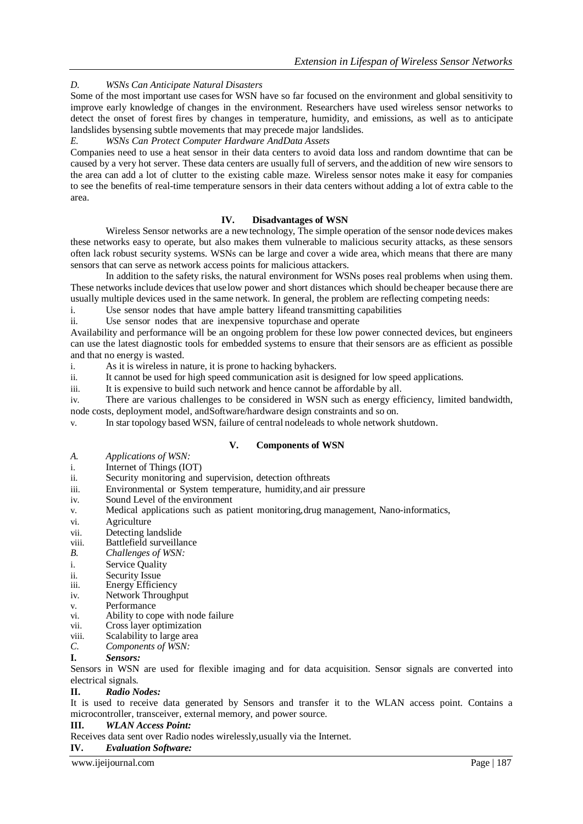*D. WSNs Can Anticipate Natural Disasters*

Some of the most important use cases for WSN have so far focused on the environment and global sensitivity to improve early knowledge of changes in the environment. Researchers have used wireless sensor networks to detect the onset of forest fires by changes in temperature, humidity, and emissions, as well as to anticipate landslides bysensing subtle movements that may precede major landslides.

## *E. WSNs Can Protect Computer Hardware AndData Assets*

Companies need to use a heat sensor in their data centers to avoid data loss and random downtime that can be caused by a very hot server. These data centers are usually full of servers, and the addition of new wire sensors to the area can add a lot of clutter to the existing cable maze. Wireless sensor notes make it easy for companies to see the benefits of real-time temperature sensors in their data centers without adding a lot of extra cable to the area.

## **IV. Disadvantages of WSN**

Wireless Sensor networks are a newtechnology, The simple operation of the sensor node devices makes these networks easy to operate, but also makes them vulnerable to malicious security attacks, as these sensors often lack robust security systems. WSNs can be large and cover a wide area, which means that there are many sensors that can serve as network access points for malicious attackers.

In addition to the safety risks, the natural environment for WSNs poses real problems when using them. These networks include devices that uselow power and short distances which should becheaper because there are usually multiple devices used in the same network. In general, the problem are reflecting competing needs:

i. Use sensor nodes that have ample battery lifeand transmitting capabilities

ii. Use sensor nodes that are inexpensive topurchase and operate

Availability and performance will be an ongoing problem for these low power connected devices, but engineers can use the latest diagnostic tools for embedded systems to ensure that their sensors are as efficient as possible and that no energy is wasted.

i. As it is wireless in nature, it is prone to hacking byhackers.

ii. It cannot be used for high speed communication asit is designed for low speed applications.

iii. It is expensive to build such network and hence cannot be affordable by all.

iv. There are various challenges to be considered in WSN such as energy efficiency, limited bandwidth, node costs, deployment model, andSoftware/hardware design constraints and so on.

v. In star topology based WSN, failure of central nodeleads to whole network shutdown.

## **V. Components of WSN**

- *A. Applications of WSN:*
- i. Internet of Things (IOT)
- ii. Security monitoring and supervision, detection ofthreats
- iii. Environmental or System temperature, humidity,and air pressure
- iv. Sound Level of the environment
- v. Medical applications such as patient monitoring,drug management, Nano-informatics,
- vi. Agriculture
- vii. Detecting landslide
- viii. Battlefield surveillance
- *B. Challenges of WSN:*
- i. Service Quality
- ii. Security Issue<br>iii. Energy Efficie
- Energy Efficiency
- iv. Network Throughput
- v. Performance<br>vi. Ability to con
- vi. Ability to cope with node failure<br>vii. Cross layer optimization
- Cross layer optimization
- viii. Scalability to large area
- *C. Components of WSN:*
- **I.** *Sensors:*

Sensors in WSN are used for flexible imaging and for data acquisition. Sensor signals are converted into electrical signals.

**II.** *Radio Nodes:*

It is used to receive data generated by Sensors and transfer it to the WLAN access point. Contains a microcontroller, transceiver, external memory, and power source.

**III.** *WLAN Access Point:*

Receives data sent over Radio nodes wirelessly,usually via the Internet.

## **IV.** *Evaluation Software:*

www.ijeijournal.com Page | 187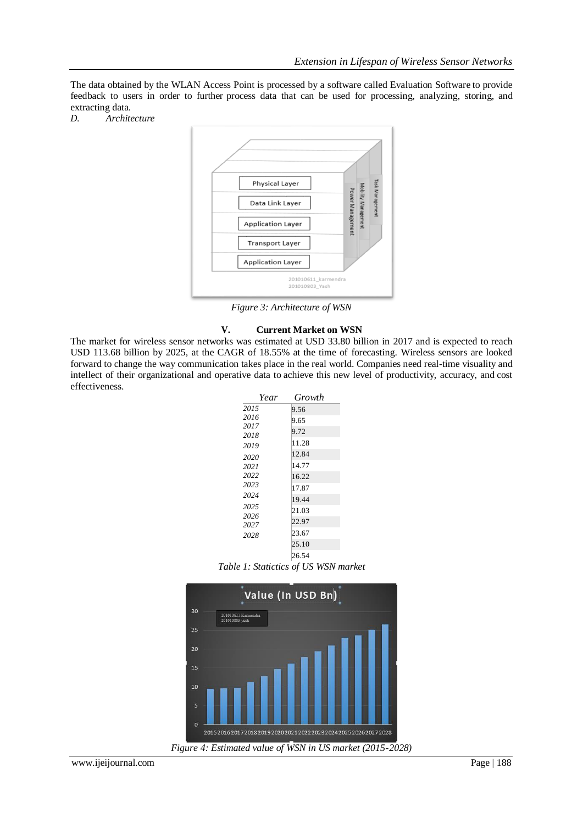The data obtained by the WLAN Access Point is processed by a software called Evaluation Software to provide feedback to users in order to further process data that can be used for processing, analyzing, storing, and extracting data.

*D. Architecture*



*Figure 3: Architecture of WSN*

## **V. Current Market on WSN**

The market for wireless sensor networks was estimated at USD 33.80 billion in 2017 and is expected to reach USD 113.68 billion by 2025, at the CAGR of 18.55% at the time of forecasting. Wireless sensors are looked forward to change the way communication takes place in the real world. Companies need real-time visuality and intellect of their organizational and operative data to achieve this new level of productivity, accuracy, and cost effectiveness.

| Year | Growth |
|------|--------|
| 2015 | 9.56   |
| 2016 | 9.65   |
| 2017 | 9.72   |
| 2018 |        |
| 2019 | 11.28  |
| 2020 | 12.84  |
| 2021 | 14.77  |
| 2022 | 16.22  |
| 2023 | 17.87  |
| 2024 | 19.44  |
| 2025 | 21.03  |
| 2026 |        |
| 2027 | 22.97  |
| 2028 | 23.67  |
|      | 25.10  |
|      | 26.54  |

*Table 1: Statictics of US WSN market*

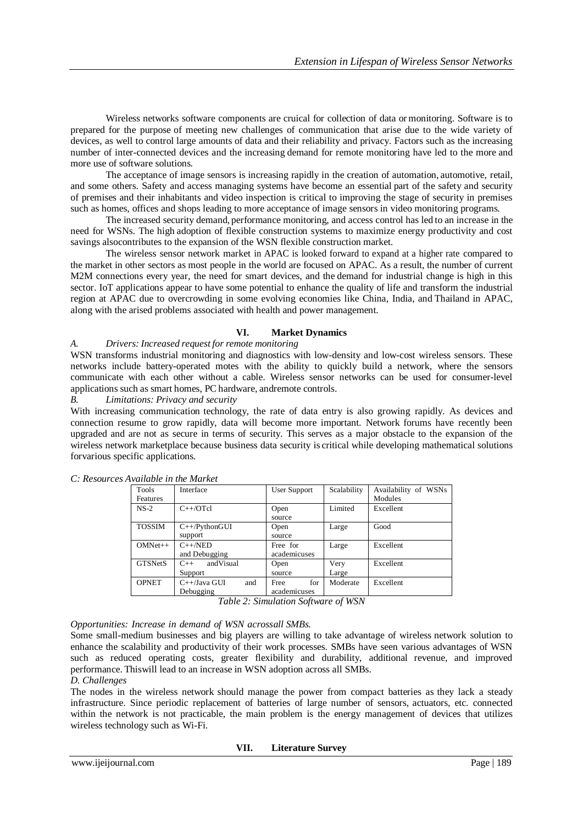Wireless networks software components are cruical for collection of data or monitoring. Software is to prepared for the purpose of meeting new challenges of communication that arise due to the wide variety of devices, as well to control large amounts of data and their reliability and privacy. Factors such as the increasing number of inter-connected devices and the increasing demand for remote monitoring have led to the more and more use of software solutions.

The acceptance of image sensors is increasing rapidly in the creation of automation, automotive, retail, and some others. Safety and access managing systems have become an essential part of the safety and security of premises and their inhabitants and video inspection is critical to improving the stage of security in premises such as homes, offices and shops leading to more acceptance of image sensors in video monitoring programs.

The increased security demand, performance monitoring, and access control has led to an increase in the need for WSNs. The high adoption of flexible construction systems to maximize energy productivity and cost savings alsocontributes to the expansion of the WSN flexible construction market.

The wireless sensor network market in APAC is looked forward to expand at a higher rate compared to the market in other sectors as most people in the world are focused on APAC. As a result, the number of current M2M connections every year, the need for smart devices, and the demand for industrial change is high in this sector. IoT applications appear to have some potential to enhance the quality of life and transform the industrial region at APAC due to overcrowding in some evolving economies like China, India, and Thailand in APAC, along with the arised problems associated with health and power management.

## **VI. Market Dynamics**

## *A. Drivers: Increased request for remote monitoring*

WSN transforms industrial monitoring and diagnostics with low-density and low-cost wireless sensors. These networks include battery-operated motes with the ability to quickly build a network, where the sensors communicate with each other without a cable. Wireless sensor networks can be used for consumer-level applications such as smart homes, PC hardware, andremote controls.

#### *B. Limitations: Privacy and security*

With increasing communication technology, the rate of data entry is also growing rapidly. As devices and connection resume to grow rapidly, data will become more important. Network forums have recently been upgraded and are not as secure in terms of security. This serves as a major obstacle to the expansion of the wireless network marketplace because business data security is critical while developing mathematical solutions forvarious specific applications.

| <b>Tools</b>   | Interface              | <b>User Support</b> | Scalability | Availability of WSNs |
|----------------|------------------------|---------------------|-------------|----------------------|
| Features       |                        |                     |             | Modules              |
| $NS-2$         | $C++/OTcl$             | Open                | Limited     | Excellent            |
|                |                        | source              |             |                      |
| <b>TOSSIM</b>  | $C++/PythonGUI$        | Open                | Large       | Good                 |
|                | support                | source              |             |                      |
| $OMNet++$      | $C++/NED$              | Free for            | Large       | Excellent            |
|                | and Debugging          | academicuses        |             |                      |
| <b>GTSNetS</b> | andVisual<br>$C++$     | Open                | Very        | Excellent            |
|                | Support                | source              | Large       |                      |
| <b>OPNET</b>   | $C++$ /Java GUI<br>and | for<br>Free         | Moderate    | Excellent            |
|                | Debugging              | academicuses        |             |                      |

*C: Resources Available in the Market*

*Table 2: Simulation Software of WSN*

*Opportunities: Increase in demand of WSN acrossall SMBs.*

Some small-medium businesses and big players are willing to take advantage of wireless network solution to enhance the scalability and productivity of their work processes. SMBs have seen various advantages of WSN such as reduced operating costs, greater flexibility and durability, additional revenue, and improved performance. Thiswill lead to an increase in WSN adoption across all SMBs.

#### *D. Challenges*

The nodes in the wireless network should manage the power from compact batteries as they lack a steady infrastructure. Since periodic replacement of batteries of large number of sensors, actuators, etc. connected within the network is not practicable, the main problem is the energy management of devices that utilizes wireless technology such as Wi-Fi.

#### **VII. Literature Survey**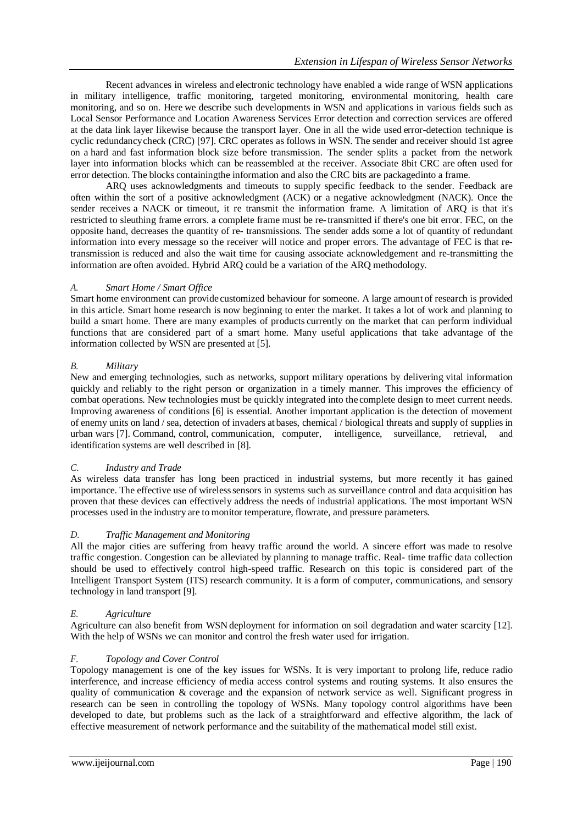Recent advances in wireless and electronic technology have enabled a wide range of WSN applications in military intelligence, traffic monitoring, targeted monitoring, environmental monitoring, health care monitoring, and so on. Here we describe such developments in WSN and applications in various fields such as Local Sensor Performance and Location Awareness Services Error detection and correction services are offered at the data link layer likewise because the transport layer. One in all the wide used error-detection technique is cyclic redundancy check (CRC) [97]. CRC operates as follows in WSN. The sender and receiver should 1st agree on a hard and fast information block size before transmission. The sender splits a packet from the network layer into information blocks which can be reassembled at the receiver. Associate 8bit CRC are often used for error detection. The blocks containingthe information and also the CRC bits are packagedinto a frame.

ARQ uses acknowledgments and timeouts to supply specific feedback to the sender. Feedback are often within the sort of a positive acknowledgment (ACK) or a negative acknowledgment (NACK). Once the sender receives a NACK or timeout, it re transmit the information frame. A limitation of ARQ is that it's restricted to sleuthing frame errors. a complete frame must be re-transmitted if there's one bit error. FEC, on the opposite hand, decreases the quantity of re- transmissions. The sender adds some a lot of quantity of redundant information into every message so the receiver will notice and proper errors. The advantage of FEC is that retransmission is reduced and also the wait time for causing associate acknowledgement and re-transmitting the information are often avoided. Hybrid ARQ could be a variation of the ARQ methodology.

## *A. Smart Home / Smart Office*

Smart home environment can provide customized behaviour for someone. A large amount of research is provided in this article. Smart home research is now beginning to enter the market. It takes a lot of work and planning to build a smart home. There are many examples of products currently on the market that can perform individual functions that are considered part of a smart home. Many useful applications that take advantage of the information collected by WSN are presented at [5].

## *B. Military*

New and emerging technologies, such as networks, support military operations by delivering vital information quickly and reliably to the right person or organization in a timely manner. This improves the efficiency of combat operations. New technologies must be quickly integrated into the complete design to meet current needs. Improving awareness of conditions [6] is essential. Another important application is the detection of movement of enemy units on land / sea, detection of invaders at bases, chemical / biological threats and supply of supplies in urban wars [7]. Command, control, communication, computer, intelligence, surveillance, retrieval, and identification systems are well described in [8].

#### *C. Industry and Trade*

As wireless data transfer has long been practiced in industrial systems, but more recently it has gained importance. The effective use of wirelesssensors in systems such as surveillance control and data acquisition has proven that these devices can effectively address the needs of industrial applications. The most important WSN processes used in the industry are to monitor temperature, flowrate, and pressure parameters.

#### *D. Traffic Management and Monitoring*

All the major cities are suffering from heavy traffic around the world. A sincere effort was made to resolve traffic congestion. Congestion can be alleviated by planning to manage traffic. Real- time traffic data collection should be used to effectively control high-speed traffic. Research on this topic is considered part of the Intelligent Transport System (ITS) research community. It is a form of computer, communications, and sensory technology in land transport [9].

#### *E. Agriculture*

Agriculture can also benefit from WSN deployment for information on soil degradation and water scarcity [12]. With the help of WSNs we can monitor and control the fresh water used for irrigation.

#### *F. Topology and Cover Control*

Topology management is one of the key issues for WSNs. It is very important to prolong life, reduce radio interference, and increase efficiency of media access control systems and routing systems. It also ensures the quality of communication & coverage and the expansion of network service as well. Significant progress in research can be seen in controlling the topology of WSNs. Many topology control algorithms have been developed to date, but problems such as the lack of a straightforward and effective algorithm, the lack of effective measurement of network performance and the suitability of the mathematical model still exist.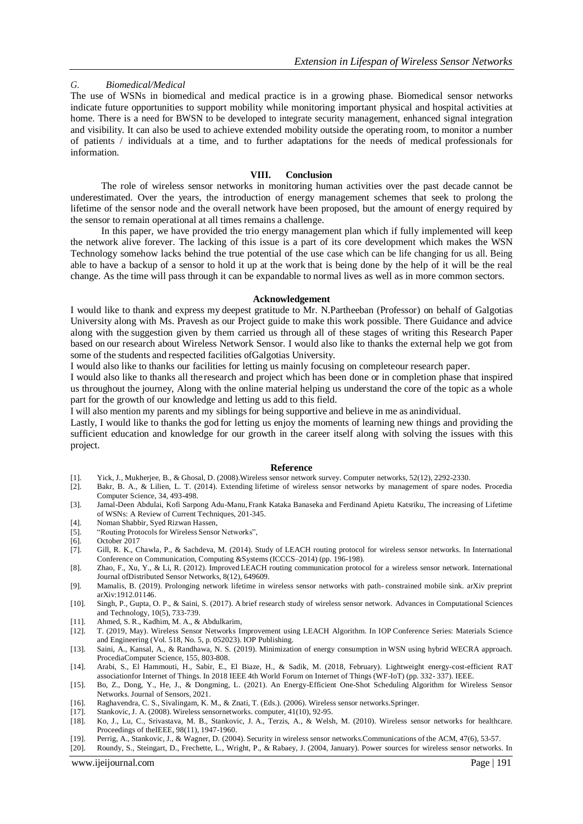## *G. Biomedical/Medical*

The use of WSNs in biomedical and medical practice is in a growing phase. Biomedical sensor networks indicate future opportunities to support mobility while monitoring important physical and hospital activities at home. There is a need for BWSN to be developed to integrate security management, enhanced signal integration and visibility. It can also be used to achieve extended mobility outside the operating room, to monitor a number of patients / individuals at a time, and to further adaptations for the needs of medical professionals for information.

#### **VIII. Conclusion**

The role of wireless sensor networks in monitoring human activities over the past decade cannot be underestimated. Over the years, the introduction of energy management schemes that seek to prolong the lifetime of the sensor node and the overall network have been proposed, but the amount of energy required by the sensor to remain operational at all times remains a challenge.

In this paper, we have provided the trio energy management plan which if fully implemented will keep the network alive forever. The lacking of this issue is a part of its core development which makes the WSN Technology somehow lacks behind the true potential of the use case which can be life changing for us all. Being able to have a backup of a sensor to hold it up at the work that is being done by the help of it will be the real change. As the time will pass through it can be expandable to normal lives as well as in more common sectors.

#### **Acknowledgement**

I would like to thank and express my deepest gratitude to Mr. N.Partheeban (Professor) on behalf of Galgotias University along with Ms. Pravesh as our Project guide to make this work possible. There Guidance and advice along with the suggestion given by them carried us through all of these stages of writing this Research Paper based on our research about Wireless Network Sensor. I would also like to thanks the external help we got from some of the students and respected facilities ofGalgotias University.

I would also like to thanks our facilities for letting us mainly focusing on completeour research paper.

I would also like to thanks all theresearch and project which has been done or in completion phase that inspired us throughout the journey, Along with the online material helping us understand the core of the topic as a whole part for the growth of our knowledge and letting us add to this field.

I will also mention my parents and my siblings for being supportive and believe in me as anindividual.

Lastly, I would like to thanks the god for letting us enjoy the moments of learning new things and providing the sufficient education and knowledge for our growth in the career itself along with solving the issues with this project.

#### **Reference**

- [1]. Yick, J., Mukherjee, B., & Ghosal, D. (2008).Wireless sensor network survey. Computer networks, 52(12), 2292-2330.
- [2]. Bakr, B. A., & Lilien, L. T. (2014). Extending lifetime of wireless sensor networks by management of spare nodes. Procedia Computer Science, 34, 493-498.
- [3]. Jamal-Deen Abdulai, Kofi Sarpong Adu-Manu, Frank Kataka Banaseka and Ferdinand Apietu Katsriku, The increasing of Lifetime of WSNs: A Review of Current Techniques, 201-345.
- [4]. Noman Shabbir, Syed Rizwan Hassen,
- [5]. "Routing Protocols for Wireless Sensor Networks",
- [6]. October 2017
- [7]. Gill, R. K., Chawla, P., & Sachdeva, M. (2014). Study of LEACH routing protocol for wireless sensor networks. In International Conference on Communication, Computing &Systems (ICCCS–2014) (pp. 196-198).
- [8]. Zhao, F., Xu, Y., & Li, R. (2012). Improved LEACH routing communication protocol for a wireless sensor network. International Journal ofDistributed Sensor Networks, 8(12), 649609.
- [9]. Mamalis, B. (2019). Prolonging network lifetime in wireless sensor networks with path- constrained mobile sink. arXiv preprint arXiv:1912.01146.
- [10]. Singh, P., Gupta, O. P., & Saini, S. (2017). A brief research study of wireless sensor network. Advances in Computational Sciences and Technology, 10(5), 733-739.
- [11]. Ahmed, S. R., Kadhim, M. A., & Abdulkarim,
- [12]. T. (2019, May). Wireless Sensor Networks Improvement using LEACH Algorithm. In IOP Conference Series: Materials Science and Engineering (Vol. 518, No. 5, p. 052023). IOP Publishing.
- [13]. Saini, A., Kansal, A., & Randhawa, N. S. (2019). Minimization of energy consumption in WSN using hybrid WECRA approach. ProcediaComputer Science, 155, 803-808.
- [14]. Arabi, S., El Hammouti, H., Sabir, E., El Biaze, H., & Sadik, M. (2018, February). Lightweight energy-cost-efficient RAT associationfor Internet of Things. In 2018 IEEE 4th World Forum on Internet of Things (WF-IoT) (pp. 332- 337). IEEE.
- [15]. Bo, Z., Dong, Y., He, J., & Dongming, L. (2021). An Energy-Efficient One-Shot Scheduling Algorithm for Wireless Sensor Networks. Journal of Sensors, 2021.
- [16]. Raghavendra, C. S., Sivalingam, K. M., & Znati, T. (Eds.). (2006). Wireless sensor networks.Springer.
- [17]. Stankovic, J. A. (2008). Wireless sensornetworks. computer, 41(10), 92-95.
- [18]. Ko, J., Lu, C., Srivastava, M. B., Stankovic, J. A., Terzis, A., & Welsh, M. (2010). Wireless sensor networks for healthcare. Proceedings of theIEEE, 98(11), 1947-1960.
- [19]. Perrig, A., Stankovic, J., & Wagner, D. (2004). Security in wireless sensor networks.Communications of the ACM, 47(6), 53-57.
- www.ijeijournal.com Page | 191 [20]. Roundy, S., Steingart, D., Frechette, L., Wright, P., & Rabaey, J. (2004, January). Power sources for wireless sensor networks. In